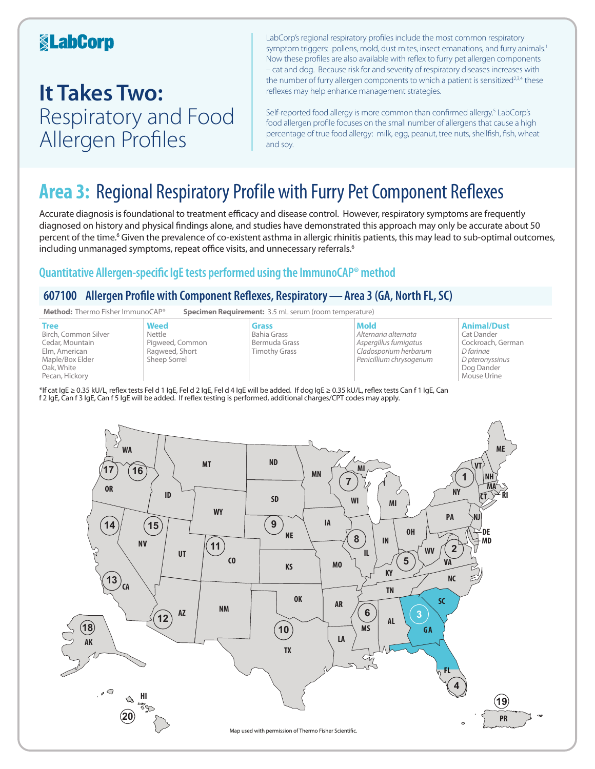## **KabCorp**

## **It Takes Two:**  Respiratory and Food Allergen Profiles

LabCorp's regional respiratory profiles include the most common respiratory symptom triggers: pollens, mold, dust mites, insect emanations, and furry animals.<sup>1</sup> Now these profiles are also available with reflex to furry pet allergen components – cat and dog. Because risk for and severity of respiratory diseases increases with the number of furry allergen components to which a patient is sensitized<sup>2,3,4</sup> these reflexes may help enhance management strategies.

Self-reported food allergy is more common than confirmed allergy.<sup>5</sup> LabCorp's food allergen profile focuses on the small number of allergens that cause a high percentage of true food allergy: milk, egg, peanut, tree nuts, shellfish, fish, wheat and soy.

## **Area 3:** Regional Respiratory Profile with Furry Pet Component Reflexes

Accurate diagnosis is foundational to treatment efficacy and disease control. However, respiratory symptoms are frequently diagnosed on history and physical findings alone, and studies have demonstrated this approach may only be accurate about 50 percent of the time.<sup>6</sup> Given the prevalence of co-existent asthma in allergic rhinitis patients, this may lead to sub-optimal outcomes, including unmanaged symptoms, repeat office visits, and unnecessary referrals.<sup>6</sup>

### **Quantitative Allergen-specific IgE tests performed using the ImmunoCAP® method**

### **607100 Allergen Profile with Component Reflexes, Respiratory—Area 3 (GA, North FL, SC)**